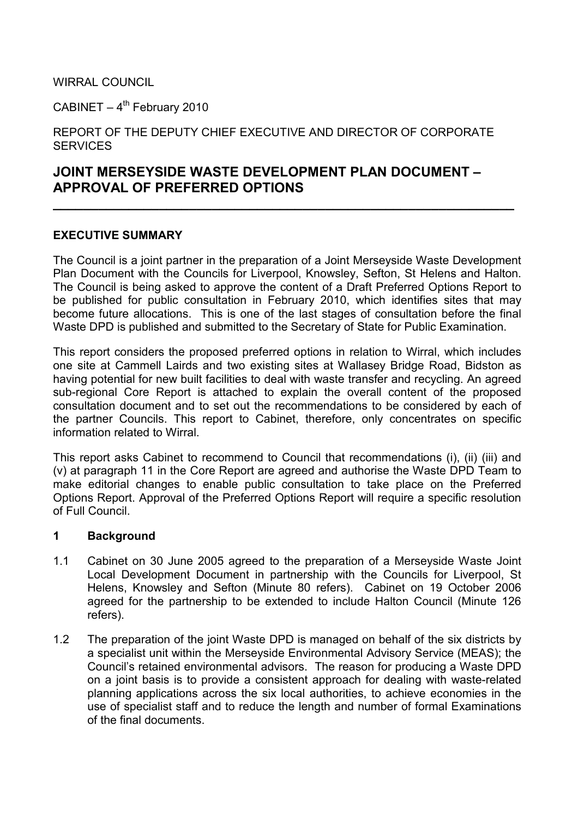WIRRAL COUNCIL

CABINET  $-4$ <sup>th</sup> February 2010

REPORT OF THE DEPUTY CHIEF EXECUTIVE AND DIRECTOR OF CORPORATE **SERVICES** 

# JOINT MERSEYSIDE WASTE DEVELOPMENT PLAN DOCUMENT – APPROVAL OF PREFERRED OPTIONS

#### EXECUTIVE SUMMARY

The Council is a joint partner in the preparation of a Joint Merseyside Waste Development Plan Document with the Councils for Liverpool, Knowsley, Sefton, St Helens and Halton. The Council is being asked to approve the content of a Draft Preferred Options Report to be published for public consultation in February 2010, which identifies sites that may become future allocations. This is one of the last stages of consultation before the final Waste DPD is published and submitted to the Secretary of State for Public Examination.

 $\overline{\phantom{a}}$  , and the contract of the contract of the contract of the contract of the contract of the contract of the contract of the contract of the contract of the contract of the contract of the contract of the contrac

This report considers the proposed preferred options in relation to Wirral, which includes one site at Cammell Lairds and two existing sites at Wallasey Bridge Road, Bidston as having potential for new built facilities to deal with waste transfer and recycling. An agreed sub-regional Core Report is attached to explain the overall content of the proposed consultation document and to set out the recommendations to be considered by each of the partner Councils. This report to Cabinet, therefore, only concentrates on specific information related to Wirral.

This report asks Cabinet to recommend to Council that recommendations (i), (ii) (iii) and (v) at paragraph 11 in the Core Report are agreed and authorise the Waste DPD Team to make editorial changes to enable public consultation to take place on the Preferred Options Report. Approval of the Preferred Options Report will require a specific resolution of Full Council.

#### 1 Background

- 1.1 Cabinet on 30 June 2005 agreed to the preparation of a Merseyside Waste Joint Local Development Document in partnership with the Councils for Liverpool, St Helens, Knowsley and Sefton (Minute 80 refers). Cabinet on 19 October 2006 agreed for the partnership to be extended to include Halton Council (Minute 126 refers).
- 1.2 The preparation of the joint Waste DPD is managed on behalf of the six districts by a specialist unit within the Merseyside Environmental Advisory Service (MEAS); the Council's retained environmental advisors. The reason for producing a Waste DPD on a joint basis is to provide a consistent approach for dealing with waste-related planning applications across the six local authorities, to achieve economies in the use of specialist staff and to reduce the length and number of formal Examinations of the final documents.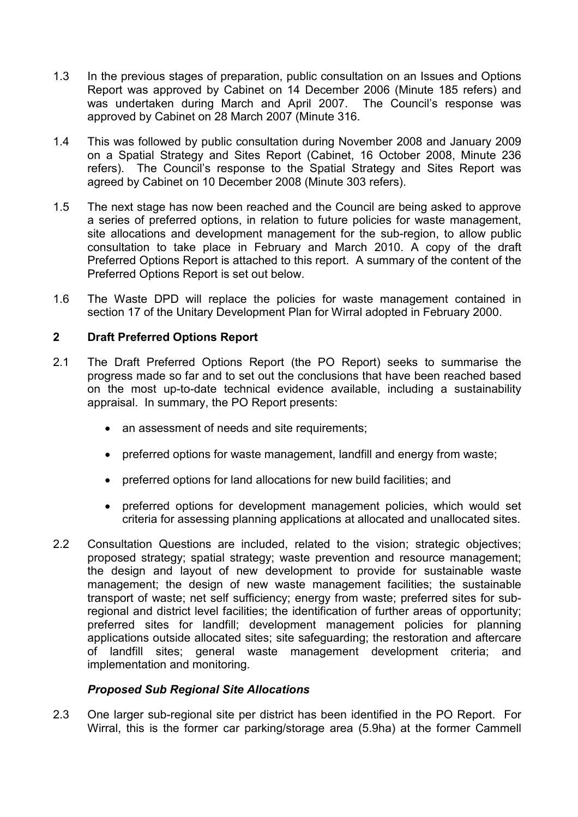- 1.3 In the previous stages of preparation, public consultation on an Issues and Options Report was approved by Cabinet on 14 December 2006 (Minute 185 refers) and was undertaken during March and April 2007. The Council's response was approved by Cabinet on 28 March 2007 (Minute 316.
- 1.4 This was followed by public consultation during November 2008 and January 2009 on a Spatial Strategy and Sites Report (Cabinet, 16 October 2008, Minute 236 refers). The Council's response to the Spatial Strategy and Sites Report was agreed by Cabinet on 10 December 2008 (Minute 303 refers).
- 1.5 The next stage has now been reached and the Council are being asked to approve a series of preferred options, in relation to future policies for waste management, site allocations and development management for the sub-region, to allow public consultation to take place in February and March 2010. A copy of the draft Preferred Options Report is attached to this report. A summary of the content of the Preferred Options Report is set out below.
- 1.6 The Waste DPD will replace the policies for waste management contained in section 17 of the Unitary Development Plan for Wirral adopted in February 2000.

## 2 Draft Preferred Options Report

- 2.1 The Draft Preferred Options Report (the PO Report) seeks to summarise the progress made so far and to set out the conclusions that have been reached based on the most up-to-date technical evidence available, including a sustainability appraisal. In summary, the PO Report presents:
	- an assessment of needs and site requirements;
	- preferred options for waste management, landfill and energy from waste;
	- preferred options for land allocations for new build facilities; and
	- preferred options for development management policies, which would set criteria for assessing planning applications at allocated and unallocated sites.
- 2.2 Consultation Questions are included, related to the vision; strategic objectives; proposed strategy; spatial strategy; waste prevention and resource management; the design and layout of new development to provide for sustainable waste management; the design of new waste management facilities; the sustainable transport of waste; net self sufficiency; energy from waste; preferred sites for subregional and district level facilities; the identification of further areas of opportunity; preferred sites for landfill; development management policies for planning applications outside allocated sites; site safeguarding; the restoration and aftercare of landfill sites; general waste management development criteria; and implementation and monitoring.

#### Proposed Sub Regional Site Allocations

2.3 One larger sub-regional site per district has been identified in the PO Report. For Wirral, this is the former car parking/storage area (5.9ha) at the former Cammell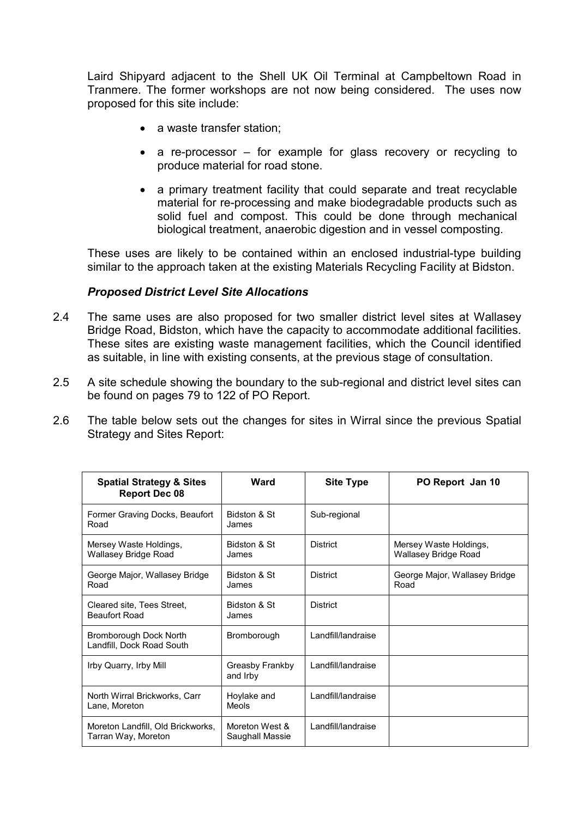Laird Shipyard adjacent to the Shell UK Oil Terminal at Campbeltown Road in Tranmere. The former workshops are not now being considered. The uses now proposed for this site include:

- a waste transfer station;
- a re-processor for example for glass recovery or recycling to produce material for road stone.
- a primary treatment facility that could separate and treat recyclable material for re-processing and make biodegradable products such as solid fuel and compost. This could be done through mechanical biological treatment, anaerobic digestion and in vessel composting.

These uses are likely to be contained within an enclosed industrial-type building similar to the approach taken at the existing Materials Recycling Facility at Bidston.

#### Proposed District Level Site Allocations

- 2.4 The same uses are also proposed for two smaller district level sites at Wallasey Bridge Road, Bidston, which have the capacity to accommodate additional facilities. These sites are existing waste management facilities, which the Council identified as suitable, in line with existing consents, at the previous stage of consultation.
- 2.5 A site schedule showing the boundary to the sub-regional and district level sites can be found on pages 79 to 122 of PO Report.
- 2.6 The table below sets out the changes for sites in Wirral since the previous Spatial Strategy and Sites Report:

| <b>Spatial Strategy &amp; Sites</b><br><b>Report Dec 08</b> | Ward                              | <b>Site Type</b>   | PO Report Jan 10                                      |
|-------------------------------------------------------------|-----------------------------------|--------------------|-------------------------------------------------------|
| Former Graving Docks, Beaufort<br>Road                      | Bidston & St<br>James             | Sub-regional       |                                                       |
| Mersey Waste Holdings,<br>Wallasey Bridge Road              | Bidston & St<br>James             | <b>District</b>    | Mersey Waste Holdings,<br><b>Wallasey Bridge Road</b> |
| George Major, Wallasey Bridge<br>Road                       | Bidston & St<br>James             | <b>District</b>    | George Major, Wallasey Bridge<br>Road                 |
| Cleared site, Tees Street,<br><b>Beaufort Road</b>          | Bidston & St<br>James             | <b>District</b>    |                                                       |
| Bromborough Dock North<br>Landfill, Dock Road South         | Bromborough                       | Landfill/landraise |                                                       |
| Irby Quarry, Irby Mill                                      | Greasby Frankby<br>and Irby       | Landfill/landraise |                                                       |
| North Wirral Brickworks, Carr<br>Lane, Moreton              | Hoylake and<br>Meols              | Landfill/landraise |                                                       |
| Moreton Landfill, Old Brickworks,<br>Tarran Way, Moreton    | Moreton West &<br>Saughall Massie | Landfill/landraise |                                                       |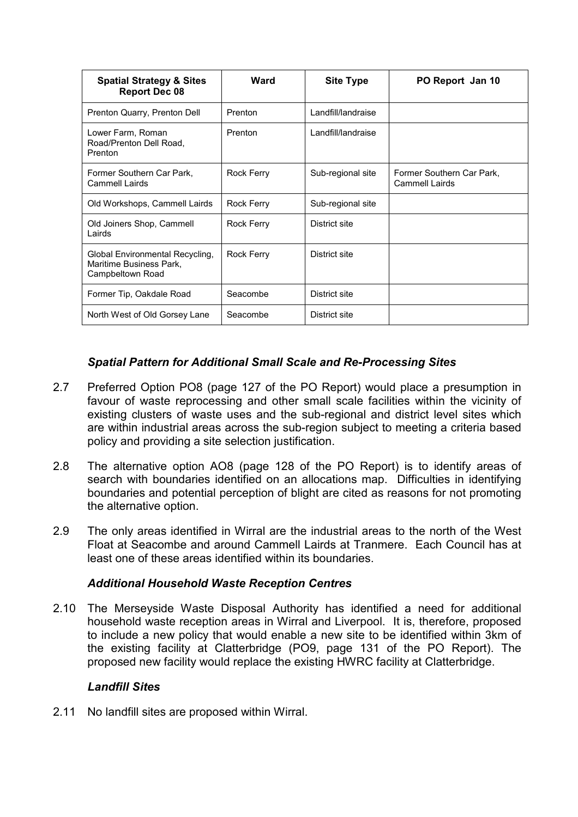| <b>Spatial Strategy &amp; Sites</b><br><b>Report Dec 08</b>                    | Ward              | <b>Site Type</b>   | PO Report Jan 10                            |
|--------------------------------------------------------------------------------|-------------------|--------------------|---------------------------------------------|
| Prenton Quarry, Prenton Dell                                                   | Prenton           | Landfill/landraise |                                             |
| Lower Farm, Roman<br>Road/Prenton Dell Road,<br>Prenton                        | Prenton           | Landfill/landraise |                                             |
| Former Southern Car Park,<br><b>Cammell Lairds</b>                             | <b>Rock Ferry</b> | Sub-regional site  | Former Southern Car Park,<br>Cammell Lairds |
| Old Workshops, Cammell Lairds                                                  | Rock Ferry        | Sub-regional site  |                                             |
| Old Joiners Shop, Cammell<br>Lairds                                            | Rock Ferry        | District site      |                                             |
| Global Environmental Recycling,<br>Maritime Business Park.<br>Campbeltown Road | <b>Rock Ferry</b> | District site      |                                             |
| Former Tip, Oakdale Road                                                       | Seacombe          | District site      |                                             |
| North West of Old Gorsey Lane                                                  | Seacombe          | District site      |                                             |

## Spatial Pattern for Additional Small Scale and Re-Processing Sites

- 2.7 Preferred Option PO8 (page 127 of the PO Report) would place a presumption in favour of waste reprocessing and other small scale facilities within the vicinity of existing clusters of waste uses and the sub-regional and district level sites which are within industrial areas across the sub-region subject to meeting a criteria based policy and providing a site selection justification.
- 2.8 The alternative option AO8 (page 128 of the PO Report) is to identify areas of search with boundaries identified on an allocations map. Difficulties in identifying boundaries and potential perception of blight are cited as reasons for not promoting the alternative option.
- 2.9 The only areas identified in Wirral are the industrial areas to the north of the West Float at Seacombe and around Cammell Lairds at Tranmere. Each Council has at least one of these areas identified within its boundaries.

#### Additional Household Waste Reception Centres

2.10 The Merseyside Waste Disposal Authority has identified a need for additional household waste reception areas in Wirral and Liverpool. It is, therefore, proposed to include a new policy that would enable a new site to be identified within 3km of the existing facility at Clatterbridge (PO9, page 131 of the PO Report). The proposed new facility would replace the existing HWRC facility at Clatterbridge.

#### Landfill Sites

2.11 No landfill sites are proposed within Wirral.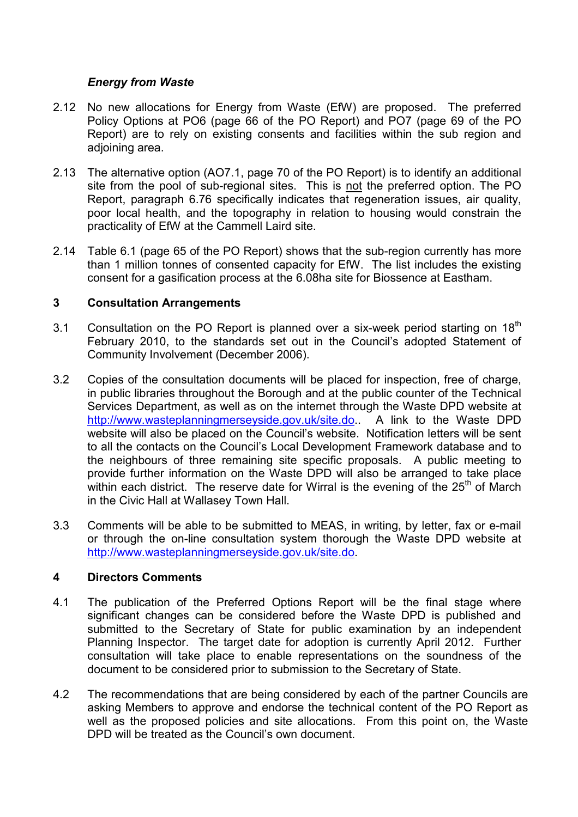### Energy from Waste

- 2.12 No new allocations for Energy from Waste (EfW) are proposed. The preferred Policy Options at PO6 (page 66 of the PO Report) and PO7 (page 69 of the PO Report) are to rely on existing consents and facilities within the sub region and adjoining area.
- 2.13 The alternative option (AO7.1, page 70 of the PO Report) is to identify an additional site from the pool of sub-regional sites. This is not the preferred option. The PO Report, paragraph 6.76 specifically indicates that regeneration issues, air quality, poor local health, and the topography in relation to housing would constrain the practicality of EfW at the Cammell Laird site.
- 2.14 Table 6.1 (page 65 of the PO Report) shows that the sub-region currently has more than 1 million tonnes of consented capacity for EfW. The list includes the existing consent for a gasification process at the 6.08ha site for Biossence at Eastham.

## 3 Consultation Arrangements

- 3.1 Consultation on the PO Report is planned over a six-week period starting on  $18<sup>th</sup>$ February 2010, to the standards set out in the Council's adopted Statement of Community Involvement (December 2006).
- 3.2 Copies of the consultation documents will be placed for inspection, free of charge, in public libraries throughout the Borough and at the public counter of the Technical Services Department, as well as on the internet through the Waste DPD website at http://www.wasteplanningmerseyside.gov.uk/site.do.. A link to the Waste DPD website will also be placed on the Council's website. Notification letters will be sent to all the contacts on the Council's Local Development Framework database and to the neighbours of three remaining site specific proposals. A public meeting to provide further information on the Waste DPD will also be arranged to take place within each district. The reserve date for Wirral is the evening of the  $25<sup>th</sup>$  of March in the Civic Hall at Wallasey Town Hall.
- 3.3 Comments will be able to be submitted to MEAS, in writing, by letter, fax or e-mail or through the on-line consultation system thorough the Waste DPD website at http://www.wasteplanningmerseyside.gov.uk/site.do.

#### 4 Directors Comments

- 4.1 The publication of the Preferred Options Report will be the final stage where significant changes can be considered before the Waste DPD is published and submitted to the Secretary of State for public examination by an independent Planning Inspector. The target date for adoption is currently April 2012. Further consultation will take place to enable representations on the soundness of the document to be considered prior to submission to the Secretary of State.
- 4.2 The recommendations that are being considered by each of the partner Councils are asking Members to approve and endorse the technical content of the PO Report as well as the proposed policies and site allocations. From this point on, the Waste DPD will be treated as the Council's own document.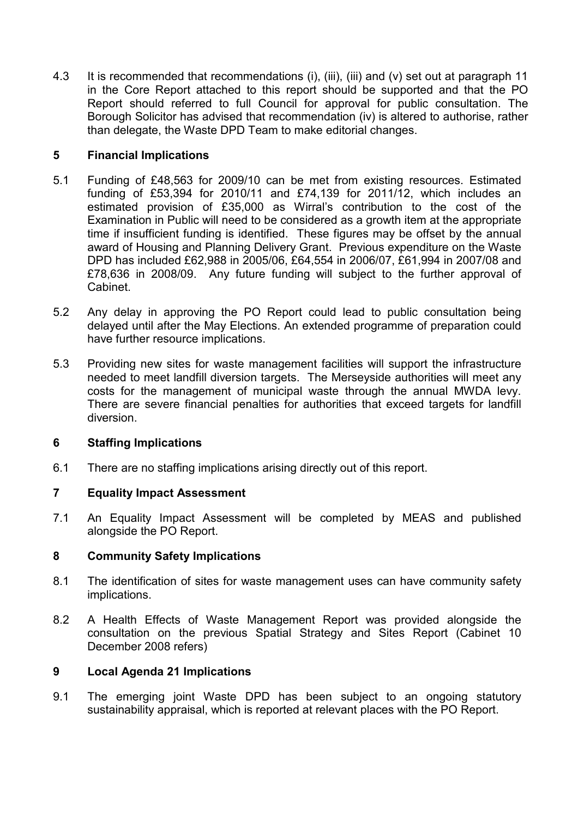4.3 It is recommended that recommendations (i), (iii), (iii) and (v) set out at paragraph 11 in the Core Report attached to this report should be supported and that the PO Report should referred to full Council for approval for public consultation. The Borough Solicitor has advised that recommendation (iv) is altered to authorise, rather than delegate, the Waste DPD Team to make editorial changes.

## 5 Financial Implications

- 5.1 Funding of £48,563 for 2009/10 can be met from existing resources. Estimated funding of £53,394 for 2010/11 and £74,139 for 2011/12, which includes an estimated provision of £35,000 as Wirral's contribution to the cost of the Examination in Public will need to be considered as a growth item at the appropriate time if insufficient funding is identified. These figures may be offset by the annual award of Housing and Planning Delivery Grant. Previous expenditure on the Waste DPD has included £62,988 in 2005/06, £64,554 in 2006/07, £61,994 in 2007/08 and £78,636 in 2008/09. Any future funding will subject to the further approval of Cabinet.
- 5.2 Any delay in approving the PO Report could lead to public consultation being delayed until after the May Elections. An extended programme of preparation could have further resource implications.
- 5.3 Providing new sites for waste management facilities will support the infrastructure needed to meet landfill diversion targets. The Merseyside authorities will meet any costs for the management of municipal waste through the annual MWDA levy. There are severe financial penalties for authorities that exceed targets for landfill diversion.

#### 6 Staffing Implications

6.1 There are no staffing implications arising directly out of this report.

#### 7 Equality Impact Assessment

7.1 An Equality Impact Assessment will be completed by MEAS and published alongside the PO Report.

#### 8 Community Safety Implications

- 8.1 The identification of sites for waste management uses can have community safety implications.
- 8.2 A Health Effects of Waste Management Report was provided alongside the consultation on the previous Spatial Strategy and Sites Report (Cabinet 10 December 2008 refers)

#### 9 Local Agenda 21 Implications

9.1 The emerging joint Waste DPD has been subject to an ongoing statutory sustainability appraisal, which is reported at relevant places with the PO Report.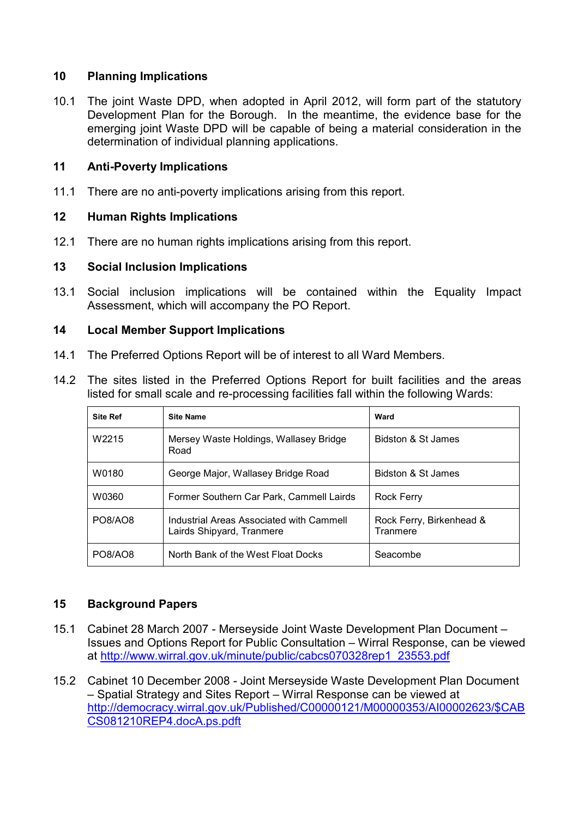## 10 Planning Implications

10.1 The joint Waste DPD, when adopted in April 2012, will form part of the statutory Development Plan for the Borough. In the meantime, the evidence base for the emerging joint Waste DPD will be capable of being a material consideration in the determination of individual planning applications.

## 11 Anti-Poverty Implications

11.1 There are no anti-poverty implications arising from this report.

## 12 Human Rights Implications

12.1 There are no human rights implications arising from this report.

## 13 Social Inclusion Implications

13.1 Social inclusion implications will be contained within the Equality Impact Assessment, which will accompany the PO Report.

## 14 Local Member Support Implications

- 14.1 The Preferred Options Report will be of interest to all Ward Members.
- 14.2 The sites listed in the Preferred Options Report for built facilities and the areas listed for small scale and re-processing facilities fall within the following Wards:

| <b>Site Ref</b>   | <b>Site Name</b>                                                      | Ward                                 |
|-------------------|-----------------------------------------------------------------------|--------------------------------------|
| W <sub>2215</sub> | Mersey Waste Holdings, Wallasey Bridge<br>Road                        | Bidston & St James                   |
| W0180             | George Major, Wallasey Bridge Road                                    | Bidston & St James                   |
| W0360             | Former Southern Car Park, Cammell Lairds                              | Rock Ferry                           |
| PO8/AO8           | Industrial Areas Associated with Cammell<br>Lairds Shipyard, Tranmere | Rock Ferry, Birkenhead &<br>Tranmere |
| PO8/AO8           | North Bank of the West Float Docks                                    | Seacombe                             |

## 15 Background Papers

- 15.1 Cabinet 28 March 2007 Merseyside Joint Waste Development Plan Document Issues and Options Report for Public Consultation – Wirral Response, can be viewed at http://www.wirral.gov.uk/minute/public/cabcs070328rep1\_23553.pdf
- 15.2 Cabinet 10 December 2008 Joint Merseyside Waste Development Plan Document – Spatial Strategy and Sites Report – Wirral Response can be viewed at http://democracy.wirral.gov.uk/Published/C00000121/M00000353/AI00002623/\$CAB CS081210REP4.docA.ps.pdft